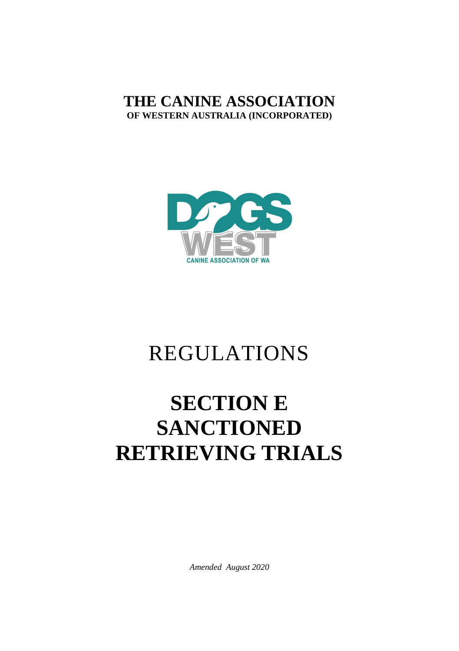# **THE CANINE ASSOCIATION OF WESTERN AUSTRALIA (INCORPORATED)**



# REGULATIONS

# **SECTION E SANCTIONED RETRIEVING TRIALS**

*Amended August 2020*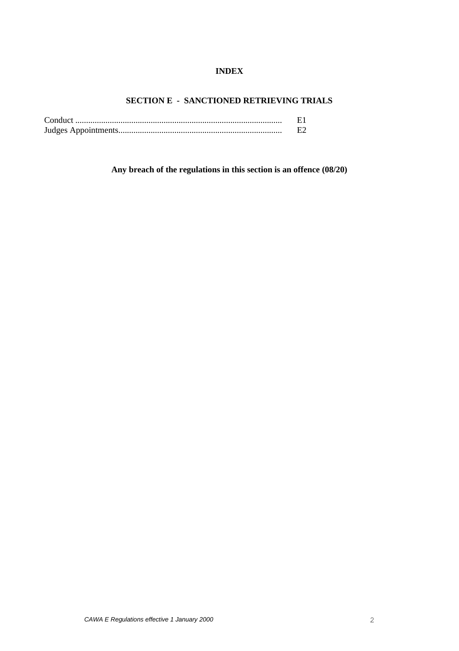### **INDEX**

## **SECTION E - SANCTIONED RETRIEVING TRIALS**

**Any breach of the regulations in this section is an offence (08/20)**